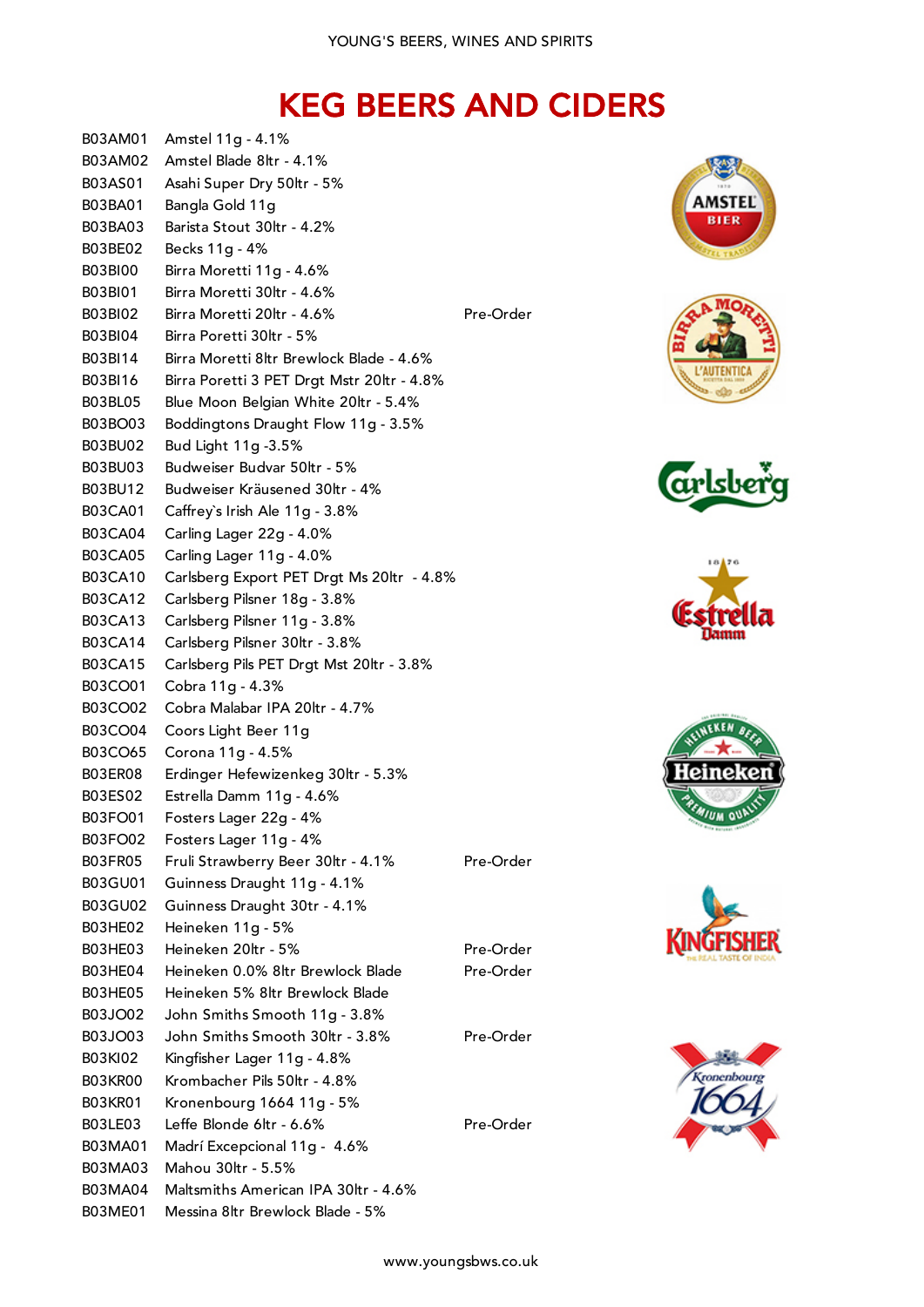## KEG BEERS AND CIDERS















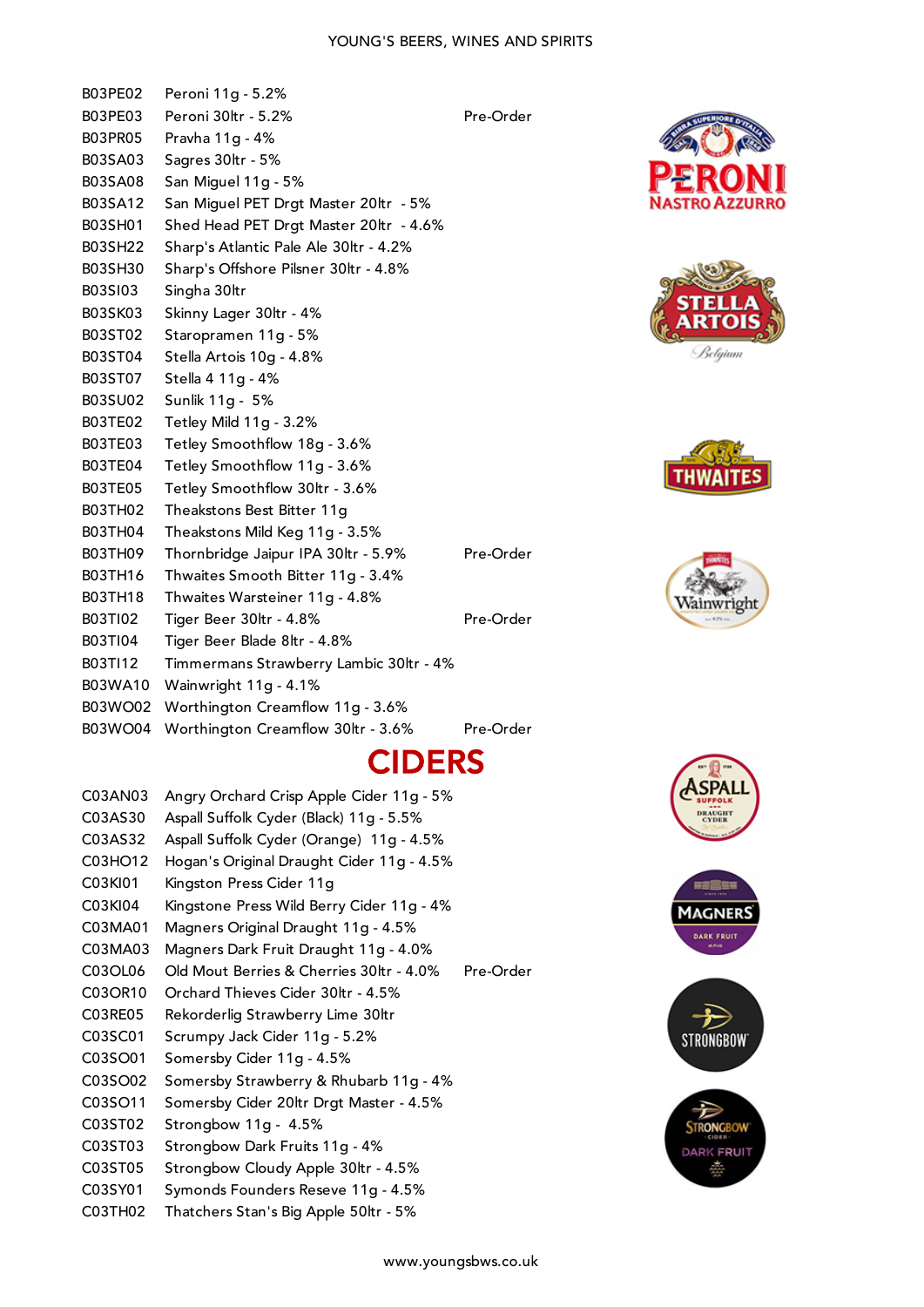## YOUNG'S BEERS, WINES AND SPIRITS

|                    | <b>CIRP</b>                                           |           |
|--------------------|-------------------------------------------------------|-----------|
| B03WO04            | Worthington Creamflow 30ltr - 3.6%                    | Pre-Order |
| B03WO02            | Worthington Creamflow 11g - 3.6%                      |           |
| <b>B03WA10</b>     | Wainwright 11g - 4.1%                                 |           |
| B03T112            | Timmermans Strawberry Lambic 30ltr - 4%               |           |
| <b>B03TI04</b>     | Tiger Beer Blade 8ltr - 4.8%                          |           |
| B03TI02            | Tiger Beer 30ltr - 4.8%                               | Pre-Order |
| B03TH18            | Thwaites Warsteiner 11g - 4.8%                        |           |
| B03TH16            | Thwaites Smooth Bitter 11g - 3.4%                     |           |
| B03TH09            | Thornbridge Jaipur IPA 30ltr - 5.9%                   | Pre-Order |
| B03TH04            | Theakstons Mild Keg 11g - 3.5%                        |           |
| B03TH02            | Theakstons Best Bitter 11g                            |           |
| B03TE05            | Tetley Smoothflow 30ltr - 3.6%                        |           |
| <b>B03TE04</b>     | Tetley Smoothflow 11g - 3.6%                          |           |
| B03TE03            | Tetley Smoothflow 18g - 3.6%                          |           |
| B03TE02            | Tetley Mild 11g - 3.2%                                |           |
| B03SU02            | Sunlik 11g - 5%                                       |           |
| B03ST07            | Stella 4 11g - 4%                                     |           |
| B03ST04            | Stella Artois 10g - 4.8%                              |           |
| B03ST02            | Staropramen 11g - 5%                                  |           |
| B03SK03            | Skinny Lager 30ltr - 4%                               |           |
| B03SH30<br>B03SI03 | Sharp's Offshore Pilsner 30ltr - 4.8%<br>Singha 30ltr |           |
|                    | Sharp's Atlantic Pale Ale 30ltr - 4.2%                |           |
| B03SH01<br>B03SH22 | Shed Head PET Drgt Master 20ltr - 4.6%                |           |
| B03SA12            | San Miguel PET Drgt Master 20ltr - 5%                 |           |
| B03SA08            | San Miguel 11g - 5%                                   | P<br>Va   |
| B03SA03            | Sagres 30ltr - 5%                                     |           |
| B03PR05            | Pravha 11g - 4%                                       | Ą         |
| B03PE03            | Peroni 30ltr - 5.2%                                   | Pre-Order |
| B03PE02            | Peroni 11g - 5.2%                                     |           |

















## CIDERS

| C03AN03 | Angry Orchard Crisp Apple Cider 11g - 5%  |           |
|---------|-------------------------------------------|-----------|
| C03AS30 | Aspall Suffolk Cyder (Black) 11g - 5.5%   |           |
| C03AS32 | Aspall Suffolk Cyder (Orange) 11g - 4.5%  |           |
| C03HO12 | Hogan's Original Draught Cider 11g - 4.5% |           |
| C03KI01 | Kingston Press Cider 11g                  |           |
| C03KI04 | Kingstone Press Wild Berry Cider 11g - 4% |           |
| C03MA01 | Magners Original Draught 11g - 4.5%       |           |
| C03MA03 | Magners Dark Fruit Draught 11g - 4.0%     |           |
| C03OL06 | Old Mout Berries & Cherries 30ltr - 4.0%  | Pre-Order |
| C03OR10 | Orchard Thieves Cider 30ltr - 4.5%        |           |
| C03RE05 | Rekorderlig Strawberry Lime 30ltr         |           |
| C03SC01 | Scrumpy Jack Cider 11g - 5.2%             |           |
| C03SO01 | Somersby Cider 11g - 4.5%                 |           |
| C03SO02 | Somersby Strawberry & Rhubarb 11g - 4%    |           |
| C03SO11 | Somersby Cider 20ltr Drgt Master - 4.5%   |           |
| C03ST02 | Strongbow 11g - 4.5%                      |           |
| C03ST03 | Strongbow Dark Fruits 11g - 4%            |           |
| C03ST05 | Strongbow Cloudy Apple 30ltr - 4.5%       |           |
| C03SY01 | Symonds Founders Reseve 11g - 4.5%        |           |
| C03TH02 | Thatchers Stan's Big Apple 50ltr - 5%     |           |